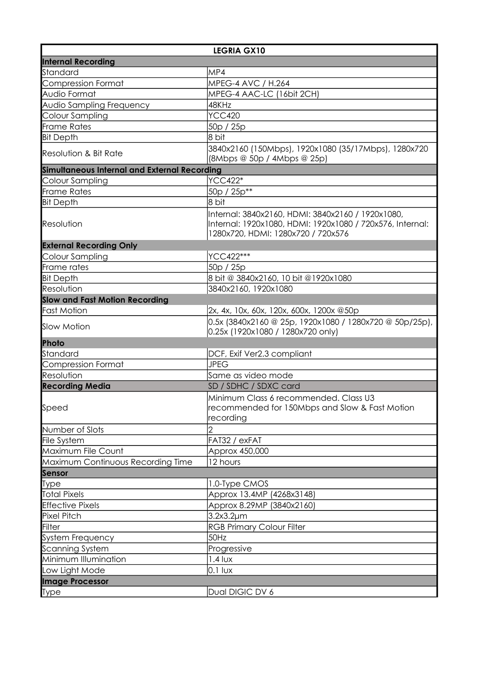| <b>LEGRIA GX10</b>                           |                                                                                                                                                      |  |
|----------------------------------------------|------------------------------------------------------------------------------------------------------------------------------------------------------|--|
| <b>Internal Recording</b>                    |                                                                                                                                                      |  |
| Standard                                     | MP4                                                                                                                                                  |  |
| <b>Compression Format</b>                    | MPEG-4 AVC / H.264                                                                                                                                   |  |
| Audio Format                                 | MPEG-4 AAC-LC (16bit 2CH)                                                                                                                            |  |
| Audio Sampling Frequency                     | 48KHz                                                                                                                                                |  |
| Colour Sampling                              | <b>YCC420</b>                                                                                                                                        |  |
| <b>Frame Rates</b>                           | 50p / 25p                                                                                                                                            |  |
| <b>Bit Depth</b>                             | 8 bit                                                                                                                                                |  |
|                                              | 3840x2160 (150Mbps), 1920x1080 (35/17Mbps), 1280x720                                                                                                 |  |
| Resolution & Bit Rate                        | (8Mbps @ 50p / 4Mbps @ 25p)                                                                                                                          |  |
| Simultaneous Internal and External Recording |                                                                                                                                                      |  |
| Colour Sampling                              | <b>YCC422*</b>                                                                                                                                       |  |
| <b>Frame Rates</b>                           | 50p / 25p**                                                                                                                                          |  |
| <b>Bit Depth</b>                             | 18 bit                                                                                                                                               |  |
| Resolution                                   | Internal: 3840x2160, HDMI: 3840x2160 / 1920x1080,<br>Internal: 1920x1080, HDMI: 1920x1080 / 720x576, Internal:<br>1280x720, HDMI: 1280x720 / 720x576 |  |
| <b>External Recording Only</b>               |                                                                                                                                                      |  |
| Colour Sampling                              | YCC422***                                                                                                                                            |  |
| Frame rates                                  | 50p / 25p                                                                                                                                            |  |
| <b>Bit Depth</b>                             | 8 bit @ 3840x2160, 10 bit @1920x1080                                                                                                                 |  |
| Resolution                                   | 3840x2160, 1920x1080                                                                                                                                 |  |
| <b>Slow and Fast Motion Recording</b>        |                                                                                                                                                      |  |
| <b>Fast Motion</b>                           | 2x, 4x, 10x, 60x, 120x, 600x, 1200x @50p                                                                                                             |  |
| <b>Slow Motion</b>                           | $0.5x$ (3840x2160 @ 25p, 1920x1080 / 1280x720 @ 50p/25p),<br>0.25x (1920x1080 / 1280x720 only)                                                       |  |
| Photo                                        |                                                                                                                                                      |  |
| Standard                                     | DCF, Exif Ver2.3 compliant                                                                                                                           |  |
| <b>Compression Format</b>                    | <b>JPEG</b>                                                                                                                                          |  |
| Resolution                                   | Same as video mode                                                                                                                                   |  |
| <b>Recording Media</b>                       | SD / SDHC / SDXC card                                                                                                                                |  |
| Speed                                        | Minimum Class 6 recommended. Class U3<br>recommended for 150Mbps and Slow & Fast Motion<br>recording                                                 |  |
| Number of Slots                              | 2                                                                                                                                                    |  |
| File System                                  | FAT32 / exFAT                                                                                                                                        |  |
| Maximum File Count                           | Approx 450,000                                                                                                                                       |  |
| Maximum Continuous Recording Time            | 12 hours                                                                                                                                             |  |
| <b>Sensor</b>                                |                                                                                                                                                      |  |
| <b>Type</b>                                  | 1.0-Type CMOS                                                                                                                                        |  |
| <b>Total Pixels</b>                          | Approx 13.4MP (4268x3148)                                                                                                                            |  |
| <b>Effective Pixels</b>                      | Approx 8.29MP (3840x2160)                                                                                                                            |  |
| <b>Pixel Pitch</b>                           | $3.2x3.2\mu m$                                                                                                                                       |  |
| <b>Filter</b>                                | <b>RGB Primary Colour Filter</b>                                                                                                                     |  |
| System Frequency                             | 50Hz                                                                                                                                                 |  |
| <b>Scanning System</b>                       | Progressive                                                                                                                                          |  |
| Minimum Illumination                         | $1.4$ lux                                                                                                                                            |  |
| Low Light Mode                               | $0.1$ lux                                                                                                                                            |  |
| <b>Image Processor</b>                       |                                                                                                                                                      |  |
| <b>Type</b>                                  | Dual DIGIC DV 6                                                                                                                                      |  |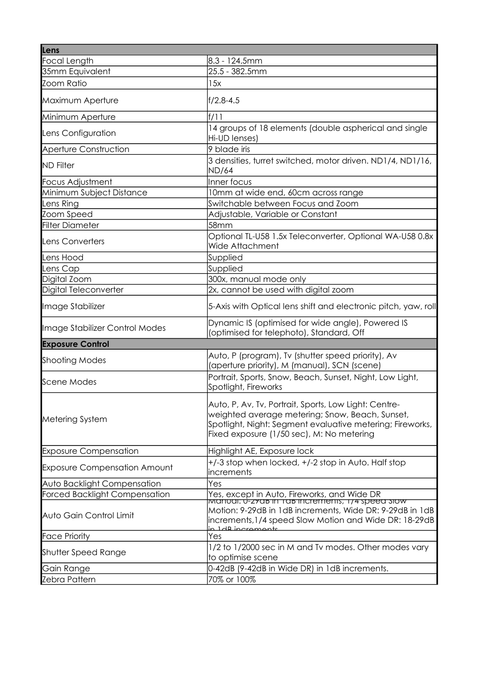| Lens                                 |                                                                                                                                                                                                                     |
|--------------------------------------|---------------------------------------------------------------------------------------------------------------------------------------------------------------------------------------------------------------------|
| <b>Focal Length</b>                  | 8.3 - 124.5mm                                                                                                                                                                                                       |
| 35mm Equivalent                      | 25.5 - 382.5mm                                                                                                                                                                                                      |
| Zoom Ratio                           | 15x                                                                                                                                                                                                                 |
| Maximum Aperture                     | f/2.8-4.5                                                                                                                                                                                                           |
| Minimum Aperture                     | f/11                                                                                                                                                                                                                |
| Lens Configuration                   | 14 groups of 18 elements (double aspherical and single<br>Hi-UD lenses)                                                                                                                                             |
| Aperture Construction                | 9 blade iris                                                                                                                                                                                                        |
| <b>ND Filter</b>                     | 3 densities, turret switched, motor driven. ND1/4, ND1/16,<br><b>ND/64</b>                                                                                                                                          |
| Focus Adjustment                     | Inner focus                                                                                                                                                                                                         |
| Minimum Subject Distance             | 10mm at wide end, 60cm across range                                                                                                                                                                                 |
| Lens Ring                            | Switchable between Focus and Zoom                                                                                                                                                                                   |
| Zoom Speed                           | Adjustable, Variable or Constant                                                                                                                                                                                    |
| <b>Filter Diameter</b>               | 58mm                                                                                                                                                                                                                |
| <b>Lens Converters</b>               | Optional TL-U58 1.5x Teleconverter, Optional WA-U58 0.8x<br>Wide Attachment                                                                                                                                         |
| Lens Hood                            | Supplied                                                                                                                                                                                                            |
| Lens Cap                             | Supplied                                                                                                                                                                                                            |
| Digital Zoom                         | 300x, manual mode only                                                                                                                                                                                              |
| Digital Teleconverter                | 2x, cannot be used with digital zoom                                                                                                                                                                                |
| Image Stabilizer                     | 5-Axis with Optical lens shift and electronic pitch, yaw, roll                                                                                                                                                      |
| Image Stabilizer Control Modes       | Dynamic IS (optimised for wide angle), Powered IS<br>(optimised for telephoto), Standard, Off                                                                                                                       |
| <b>Exposure Control</b>              |                                                                                                                                                                                                                     |
| <b>Shooting Modes</b>                | Auto, P (program), Tv (shutter speed priority), Av<br>(aperture priority), M (manual), SCN (scene)                                                                                                                  |
| <b>Scene Modes</b>                   | Portrait, Sports, Snow, Beach, Sunset, Night, Low Light,<br>Spotlight, Fireworks                                                                                                                                    |
| Metering System                      | Auto, P, Av, Tv, Portrait, Sports, Low Light: Centre-<br> weighted average metering; Snow, Beach, Sunset,<br>Spotlight, Night: Segment evaluative metering; Fireworks,<br>Fixed exposure (1/50 sec), M: No metering |
| <b>Exposure Compensation</b>         | Highlight AE, Exposure lock                                                                                                                                                                                         |
| <b>Exposure Compensation Amount</b>  | +/-3 stop when locked, +/-2 stop in Auto. Half stop<br>increments                                                                                                                                                   |
| Auto Backlight Compensation          | Yes                                                                                                                                                                                                                 |
| <b>Forced Backlight Compensation</b> | Yes, except in Auto, Fireworks, and Wide DR<br>เพนิกษน: ป-zรนธ in таธ increments, 174 speed รเบพ                                                                                                                    |
| Auto Gain Control Limit              | Motion: 9-29dB in 1dB increments, Wide DR: 9-29dB in 1dB<br>increments, 1/4 speed Slow Motion and Wide DR: 18-29dB<br>in 1 dB incromonts                                                                            |
| <b>Face Priority</b>                 | Yes                                                                                                                                                                                                                 |
| <b>Shutter Speed Range</b>           | 1/2 to 1/2000 sec in M and Tv modes. Other modes vary<br>to optimise scene                                                                                                                                          |
| Gain Range                           | 0-42dB (9-42dB in Wide DR) in 1dB increments.                                                                                                                                                                       |
| Zebra Pattern                        | 70% or 100%                                                                                                                                                                                                         |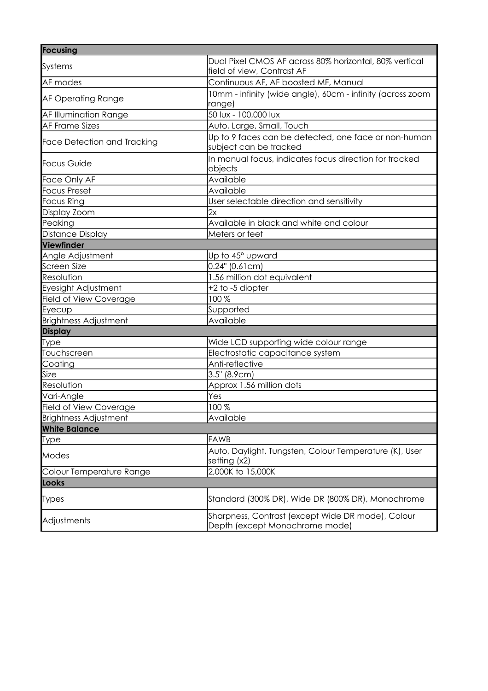| <b>Focusing</b>                    |                                                                                      |  |
|------------------------------------|--------------------------------------------------------------------------------------|--|
| Systems                            | Dual Pixel CMOS AF across 80% horizontal, 80% vertical<br>field of view, Contrast AF |  |
| AF modes                           | Continuous AF, AF boosted MF, Manual                                                 |  |
| <b>AF Operating Range</b>          | 10mm - infinity (wide angle), 60cm - infinity (across zoom<br>range)                 |  |
| AF Illumination Range              | 50 lux - 100,000 lux                                                                 |  |
| <b>AF Frame Sizes</b>              | Auto, Large, Small, Touch                                                            |  |
| <b>Face Detection and Tracking</b> | Up to 9 faces can be detected, one face or non-human<br>subject can be tracked       |  |
| <b>Focus Guide</b>                 | In manual focus, indicates focus direction for tracked<br>objects                    |  |
| Face Only AF                       | Available                                                                            |  |
| <b>Focus Preset</b>                | Available                                                                            |  |
| <b>Focus Ring</b>                  | User selectable direction and sensitivity                                            |  |
| Display Zoom                       | 2x                                                                                   |  |
| Peaking                            | Available in black and white and colour                                              |  |
| Distance Display                   | Meters or feet                                                                       |  |
| Viewfinder                         |                                                                                      |  |
| Angle Adjustment                   | Up to 45° upward                                                                     |  |
| <b>Screen Size</b>                 | $0.24$ " (0.61cm)                                                                    |  |
| Resolution                         | 1.56 million dot equivalent                                                          |  |
| Eyesight Adjustment                | +2 to -5 diopter                                                                     |  |
| Field of View Coverage             | 100%                                                                                 |  |
| Eyecup                             | Supported                                                                            |  |
| <b>Brightness Adjustment</b>       | Available                                                                            |  |
| <b>Display</b>                     |                                                                                      |  |
| <b>Type</b>                        | Wide LCD supporting wide colour range                                                |  |
| Touchscreen                        | Electrostatic capacitance system                                                     |  |
| Coating                            | Anti-reflective                                                                      |  |
| Size                               | 3.5" (8.9cm)                                                                         |  |
| Resolution                         | Approx 1.56 million dots                                                             |  |
| Vari-Angle                         | Yes                                                                                  |  |
| Field of View Coverage             | 100%                                                                                 |  |
| <b>Brightness Adjustment</b>       | Available                                                                            |  |
| <b>White Balance</b>               |                                                                                      |  |
| Type                               | <b>FAWB</b>                                                                          |  |
| Modes                              | Auto, Daylight, Tungsten, Colour Temperature (K), User<br>setting (x2)               |  |
| Colour Temperature Range           | 2,000K to 15,000K                                                                    |  |
| Looks                              |                                                                                      |  |
| Types                              | Standard (300% DR), Wide DR (800% DR), Monochrome                                    |  |
| Adjustments                        | Sharpness, Contrast (except Wide DR mode), Colour<br>Depth (except Monochrome mode)  |  |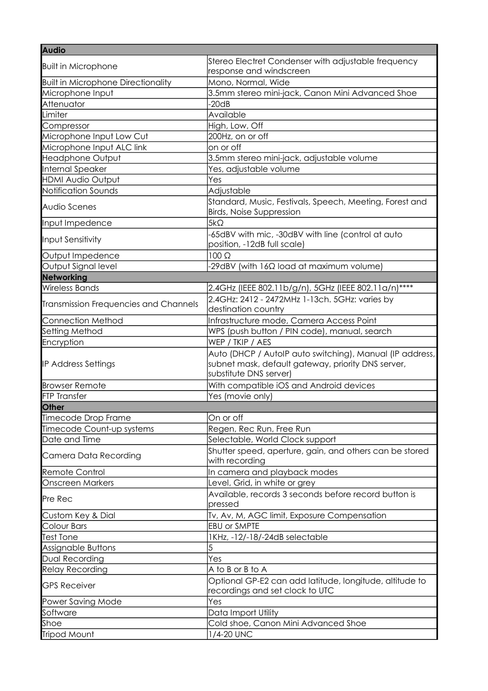| <b>Audio</b>                              |                                                                                                                                          |
|-------------------------------------------|------------------------------------------------------------------------------------------------------------------------------------------|
| <b>Built in Microphone</b>                | Stereo Electret Condenser with adjustable frequency<br>response and windscreen                                                           |
| <b>Built in Microphone Directionality</b> | Mono, Normal, Wide                                                                                                                       |
| Microphone Input                          | 3.5mm stereo mini-jack, Canon Mini Advanced Shoe                                                                                         |
| Attenuator                                | $-20dB$                                                                                                                                  |
| Limiter                                   | Available                                                                                                                                |
| Compressor                                | High, Low, Off                                                                                                                           |
| Microphone Input Low Cut                  | 200Hz, on or off                                                                                                                         |
| Microphone Input ALC link                 | on or off                                                                                                                                |
| <b>Headphone Output</b>                   | 3.5mm stereo mini-jack, adjustable volume                                                                                                |
| Internal Speaker                          | Yes, adjustable volume                                                                                                                   |
| <b>HDMI Audio Output</b>                  | Yes                                                                                                                                      |
| Notification Sounds                       | Adjustable                                                                                                                               |
| <b>Audio Scenes</b>                       | Standard, Music, Festivals, Speech, Meeting, Forest and<br><b>Birds, Noise Suppression</b>                                               |
| Input Impedence                           | $5k\Omega$                                                                                                                               |
| Input Sensitivity                         | -65dBV with mic, -30dBV with line (control at auto<br>position, -12dB full scale)                                                        |
| Output Impedence                          | $100 \Omega$                                                                                                                             |
| Output Signal level                       | $-29$ dBV (with 16 $\Omega$ load at maximum volume)                                                                                      |
| Networking                                |                                                                                                                                          |
| <b>Wireless Bands</b>                     | 2.4GHz (IEEE 802.11b/g/n), 5GHz (IEEE 802.11a/n)****                                                                                     |
| Transmission Frequencies and Channels     | 2.4GHz: 2412 - 2472MHz 1-13ch. 5GHz: varies by<br>destination country                                                                    |
| <b>Connection Method</b>                  | Infrastructure mode, Camera Access Point                                                                                                 |
| Setting Method                            | WPS (push button / PIN code), manual, search                                                                                             |
| Encryption                                | WEP / TKIP / AES                                                                                                                         |
| <b>IP Address Settings</b>                | Auto (DHCP / AutolP auto switching), Manual (IP address,<br>subnet mask, default gateway, priority DNS server,<br>substitute DNS server) |
| <b>Browser Remote</b>                     | With compatible iOS and Android devices                                                                                                  |
| <b>FTP Transfer</b>                       | Yes (movie only)                                                                                                                         |
| <b>Other</b>                              |                                                                                                                                          |
| Timecode Drop Frame                       | On or off                                                                                                                                |
| Timecode Count-up systems                 | Regen, Rec Run, Free Run                                                                                                                 |
| Date and Time                             | Selectable, World Clock support                                                                                                          |
| Camera Data Recording                     | Shutter speed, aperture, gain, and others can be stored<br>with recording                                                                |
| Remote Control                            | In camera and playback modes                                                                                                             |
| <b>Onscreen Markers</b>                   | Level, Grid, in white or grey                                                                                                            |
| Pre Rec                                   | Available, records 3 seconds before record button is<br>pressed                                                                          |
| Custom Key & Dial                         | Tv, Av, M, AGC limit, Exposure Compensation                                                                                              |
| Colour Bars                               | <b>EBU or SMPTE</b>                                                                                                                      |
| <b>Test Tone</b>                          | 1KHz, -12/-18/-24dB selectable                                                                                                           |
| Assignable Buttons                        | 5                                                                                                                                        |
| Dual Recording                            | Yes                                                                                                                                      |
| <b>Relay Recording</b>                    | A to B or B to A                                                                                                                         |
| <b>GPS Receiver</b>                       | Optional GP-E2 can add latitude, longitude, altitude to<br>recordings and set clock to UTC                                               |
| Power Saving Mode                         | Yes                                                                                                                                      |
| Software                                  | Data Import Utility                                                                                                                      |
| Shoe                                      | Cold shoe, Canon Mini Advanced Shoe                                                                                                      |
| Tripod Mount                              | 1/4-20 UNC                                                                                                                               |
|                                           |                                                                                                                                          |